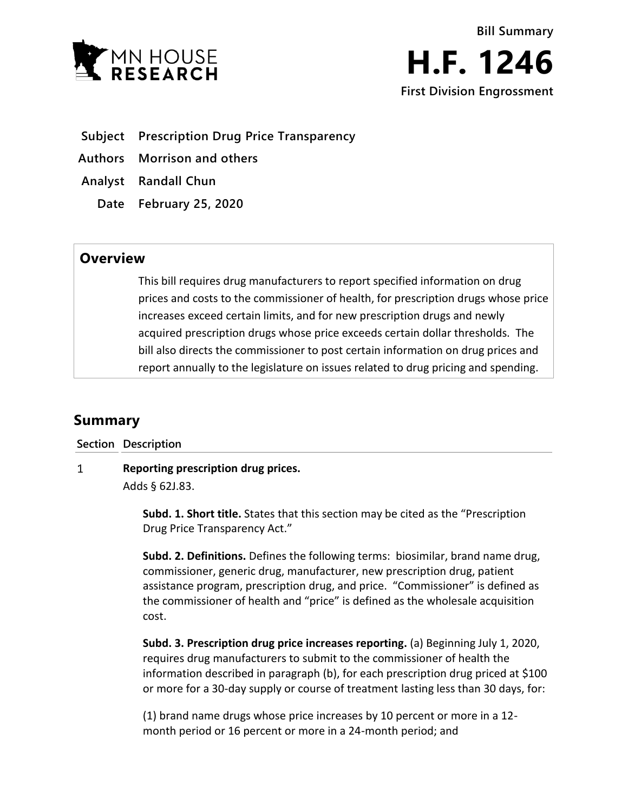



- **Subject Prescription Drug Price Transparency**
- **Authors Morrison and others**
- **Analyst Randall Chun**
	- **Date February 25, 2020**

## **Overview**

This bill requires drug manufacturers to report specified information on drug prices and costs to the commissioner of health, for prescription drugs whose price increases exceed certain limits, and for new prescription drugs and newly acquired prescription drugs whose price exceeds certain dollar thresholds. The bill also directs the commissioner to post certain information on drug prices and report annually to the legislature on issues related to drug pricing and spending.

# **Summary**

**Section Description**

#### $\mathbf{1}$ **Reporting prescription drug prices.**

Adds § 62J.83.

**Subd. 1. Short title.** States that this section may be cited as the "Prescription Drug Price Transparency Act."

**Subd. 2. Definitions.** Defines the following terms: biosimilar, brand name drug, commissioner, generic drug, manufacturer, new prescription drug, patient assistance program, prescription drug, and price. "Commissioner" is defined as the commissioner of health and "price" is defined as the wholesale acquisition cost.

**Subd. 3. Prescription drug price increases reporting.** (a) Beginning July 1, 2020, requires drug manufacturers to submit to the commissioner of health the information described in paragraph (b), for each prescription drug priced at \$100 or more for a 30-day supply or course of treatment lasting less than 30 days, for:

(1) brand name drugs whose price increases by 10 percent or more in a 12 month period or 16 percent or more in a 24-month period; and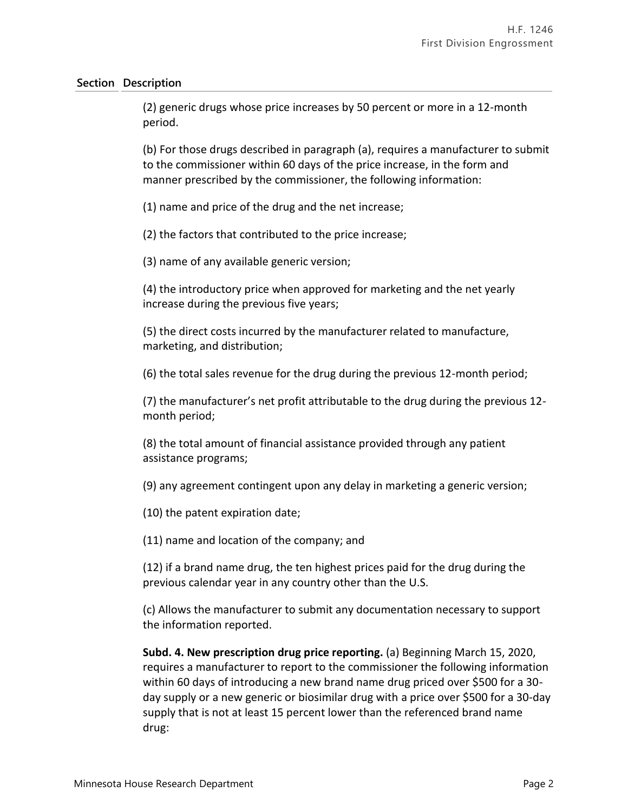(2) generic drugs whose price increases by 50 percent or more in a 12-month period.

(b) For those drugs described in paragraph (a), requires a manufacturer to submit to the commissioner within 60 days of the price increase, in the form and manner prescribed by the commissioner, the following information:

(1) name and price of the drug and the net increase;

(2) the factors that contributed to the price increase;

(3) name of any available generic version;

(4) the introductory price when approved for marketing and the net yearly increase during the previous five years;

(5) the direct costs incurred by the manufacturer related to manufacture, marketing, and distribution;

(6) the total sales revenue for the drug during the previous 12-month period;

(7) the manufacturer's net profit attributable to the drug during the previous 12 month period;

(8) the total amount of financial assistance provided through any patient assistance programs;

(9) any agreement contingent upon any delay in marketing a generic version;

(10) the patent expiration date;

(11) name and location of the company; and

(12) if a brand name drug, the ten highest prices paid for the drug during the previous calendar year in any country other than the U.S.

(c) Allows the manufacturer to submit any documentation necessary to support the information reported.

**Subd. 4. New prescription drug price reporting.** (a) Beginning March 15, 2020, requires a manufacturer to report to the commissioner the following information within 60 days of introducing a new brand name drug priced over \$500 for a 30 day supply or a new generic or biosimilar drug with a price over \$500 for a 30-day supply that is not at least 15 percent lower than the referenced brand name drug: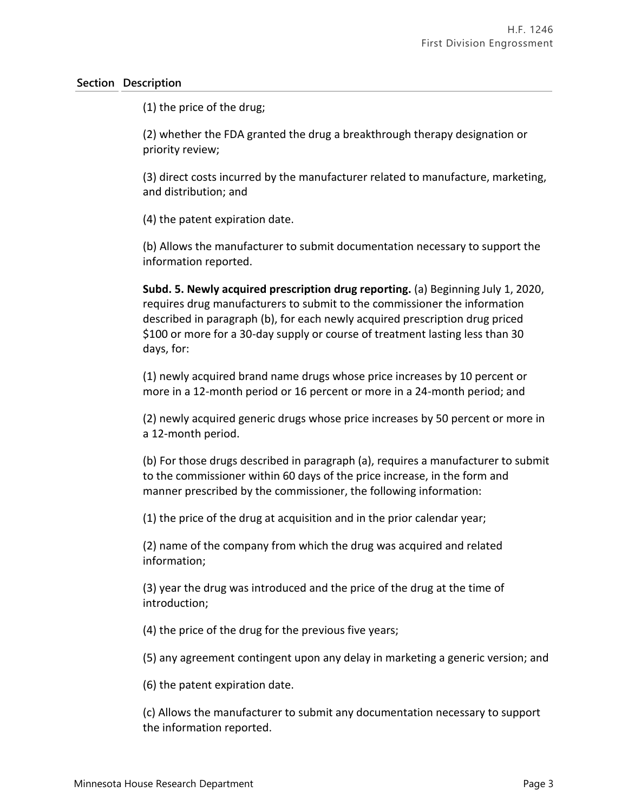(1) the price of the drug;

(2) whether the FDA granted the drug a breakthrough therapy designation or priority review;

(3) direct costs incurred by the manufacturer related to manufacture, marketing, and distribution; and

(4) the patent expiration date.

(b) Allows the manufacturer to submit documentation necessary to support the information reported.

**Subd. 5. Newly acquired prescription drug reporting.** (a) Beginning July 1, 2020, requires drug manufacturers to submit to the commissioner the information described in paragraph (b), for each newly acquired prescription drug priced \$100 or more for a 30-day supply or course of treatment lasting less than 30 days, for:

(1) newly acquired brand name drugs whose price increases by 10 percent or more in a 12-month period or 16 percent or more in a 24-month period; and

(2) newly acquired generic drugs whose price increases by 50 percent or more in a 12-month period.

(b) For those drugs described in paragraph (a), requires a manufacturer to submit to the commissioner within 60 days of the price increase, in the form and manner prescribed by the commissioner, the following information:

(1) the price of the drug at acquisition and in the prior calendar year;

(2) name of the company from which the drug was acquired and related information;

(3) year the drug was introduced and the price of the drug at the time of introduction;

(4) the price of the drug for the previous five years;

(5) any agreement contingent upon any delay in marketing a generic version; and

(6) the patent expiration date.

(c) Allows the manufacturer to submit any documentation necessary to support the information reported.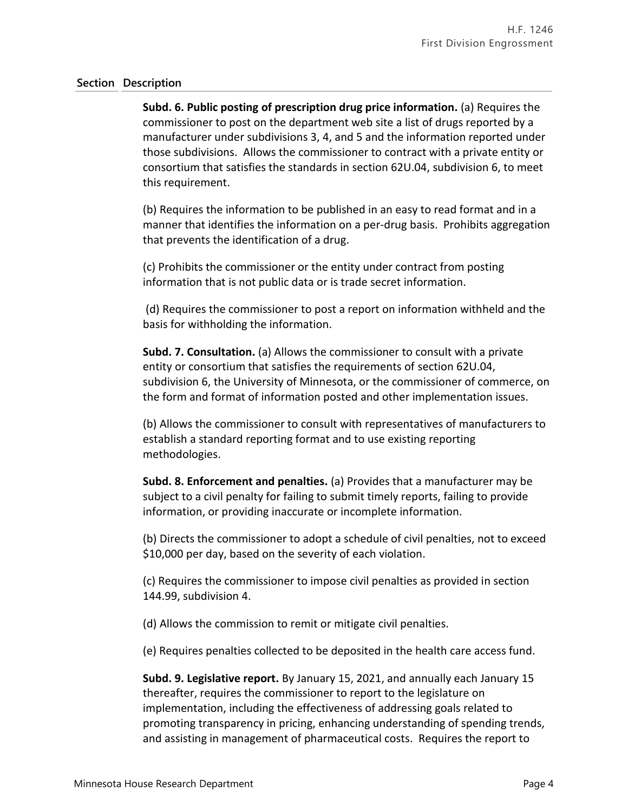**Subd. 6. Public posting of prescription drug price information.** (a) Requires the commissioner to post on the department web site a list of drugs reported by a manufacturer under subdivisions 3, 4, and 5 and the information reported under those subdivisions. Allows the commissioner to contract with a private entity or consortium that satisfies the standards in section 62U.04, subdivision 6, to meet this requirement.

(b) Requires the information to be published in an easy to read format and in a manner that identifies the information on a per-drug basis. Prohibits aggregation that prevents the identification of a drug.

(c) Prohibits the commissioner or the entity under contract from posting information that is not public data or is trade secret information.

(d) Requires the commissioner to post a report on information withheld and the basis for withholding the information.

**Subd. 7. Consultation.** (a) Allows the commissioner to consult with a private entity or consortium that satisfies the requirements of section 62U.04, subdivision 6, the University of Minnesota, or the commissioner of commerce, on the form and format of information posted and other implementation issues.

(b) Allows the commissioner to consult with representatives of manufacturers to establish a standard reporting format and to use existing reporting methodologies.

**Subd. 8. Enforcement and penalties.** (a) Provides that a manufacturer may be subject to a civil penalty for failing to submit timely reports, failing to provide information, or providing inaccurate or incomplete information.

(b) Directs the commissioner to adopt a schedule of civil penalties, not to exceed \$10,000 per day, based on the severity of each violation.

(c) Requires the commissioner to impose civil penalties as provided in section 144.99, subdivision 4.

(d) Allows the commission to remit or mitigate civil penalties.

(e) Requires penalties collected to be deposited in the health care access fund.

**Subd. 9. Legislative report.** By January 15, 2021, and annually each January 15 thereafter, requires the commissioner to report to the legislature on implementation, including the effectiveness of addressing goals related to promoting transparency in pricing, enhancing understanding of spending trends, and assisting in management of pharmaceutical costs. Requires the report to